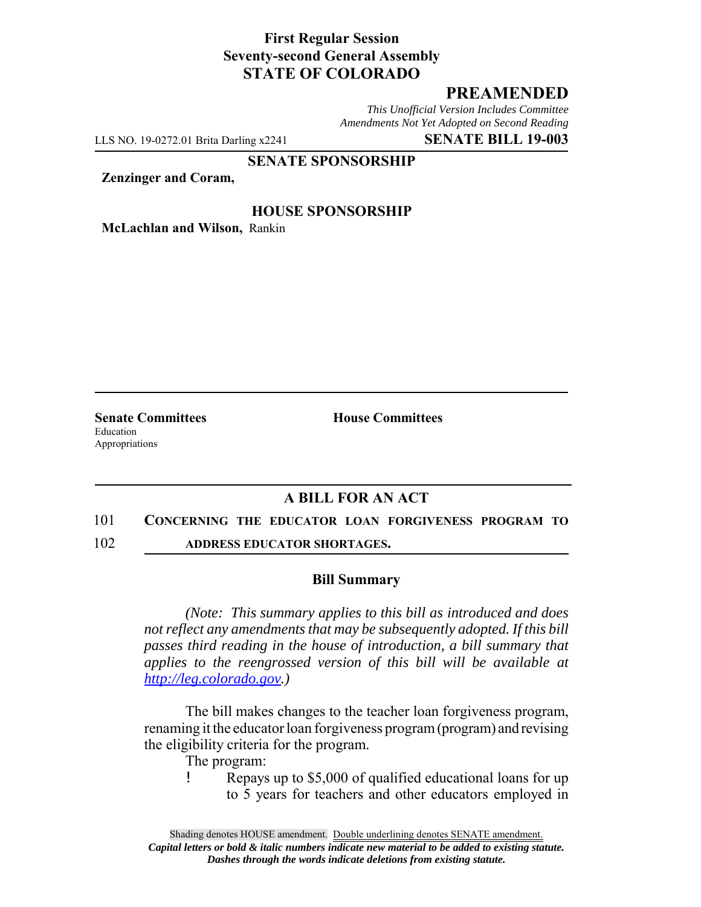## **First Regular Session Seventy-second General Assembly STATE OF COLORADO**

# **PREAMENDED**

*This Unofficial Version Includes Committee Amendments Not Yet Adopted on Second Reading*

LLS NO. 19-0272.01 Brita Darling x2241 **SENATE BILL 19-003**

#### **SENATE SPONSORSHIP**

**Zenzinger and Coram,**

### **HOUSE SPONSORSHIP**

**McLachlan and Wilson,** Rankin

Education Appropriations

**Senate Committees House Committees** 

## **A BILL FOR AN ACT**

#### 101 **CONCERNING THE EDUCATOR LOAN FORGIVENESS PROGRAM TO**

102 **ADDRESS EDUCATOR SHORTAGES.**

#### **Bill Summary**

*(Note: This summary applies to this bill as introduced and does not reflect any amendments that may be subsequently adopted. If this bill passes third reading in the house of introduction, a bill summary that applies to the reengrossed version of this bill will be available at http://leg.colorado.gov.)*

The bill makes changes to the teacher loan forgiveness program, renaming it the educator loan forgiveness program (program) and revising the eligibility criteria for the program.

The program:

! Repays up to \$5,000 of qualified educational loans for up to 5 years for teachers and other educators employed in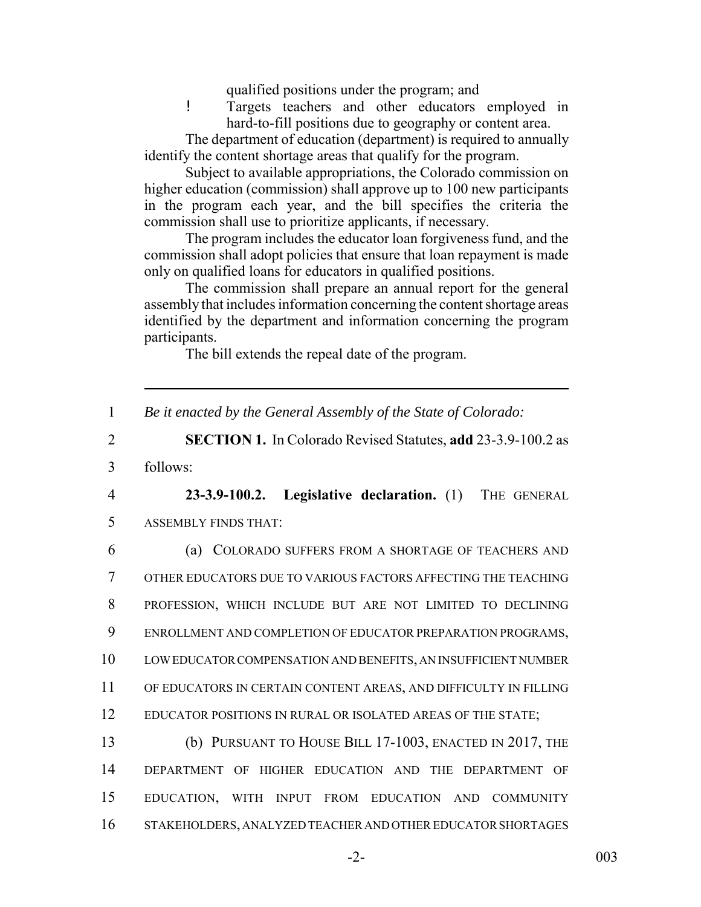qualified positions under the program; and

! Targets teachers and other educators employed in hard-to-fill positions due to geography or content area.

The department of education (department) is required to annually identify the content shortage areas that qualify for the program.

Subject to available appropriations, the Colorado commission on higher education (commission) shall approve up to 100 new participants in the program each year, and the bill specifies the criteria the commission shall use to prioritize applicants, if necessary.

The program includes the educator loan forgiveness fund, and the commission shall adopt policies that ensure that loan repayment is made only on qualified loans for educators in qualified positions.

The commission shall prepare an annual report for the general assembly that includes information concerning the content shortage areas identified by the department and information concerning the program participants.

The bill extends the repeal date of the program.

1 *Be it enacted by the General Assembly of the State of Colorado:*

2 **SECTION 1.** In Colorado Revised Statutes, **add** 23-3.9-100.2 as

3 follows:

4 **23-3.9-100.2. Legislative declaration.** (1) THE GENERAL 5 ASSEMBLY FINDS THAT:

 (a) COLORADO SUFFERS FROM A SHORTAGE OF TEACHERS AND OTHER EDUCATORS DUE TO VARIOUS FACTORS AFFECTING THE TEACHING PROFESSION, WHICH INCLUDE BUT ARE NOT LIMITED TO DECLINING ENROLLMENT AND COMPLETION OF EDUCATOR PREPARATION PROGRAMS, LOW EDUCATOR COMPENSATION AND BENEFITS, AN INSUFFICIENT NUMBER OF EDUCATORS IN CERTAIN CONTENT AREAS, AND DIFFICULTY IN FILLING 12 EDUCATOR POSITIONS IN RURAL OR ISOLATED AREAS OF THE STATE;

 (b) PURSUANT TO HOUSE BILL 17-1003, ENACTED IN 2017, THE DEPARTMENT OF HIGHER EDUCATION AND THE DEPARTMENT OF EDUCATION, WITH INPUT FROM EDUCATION AND COMMUNITY STAKEHOLDERS, ANALYZED TEACHER AND OTHER EDUCATOR SHORTAGES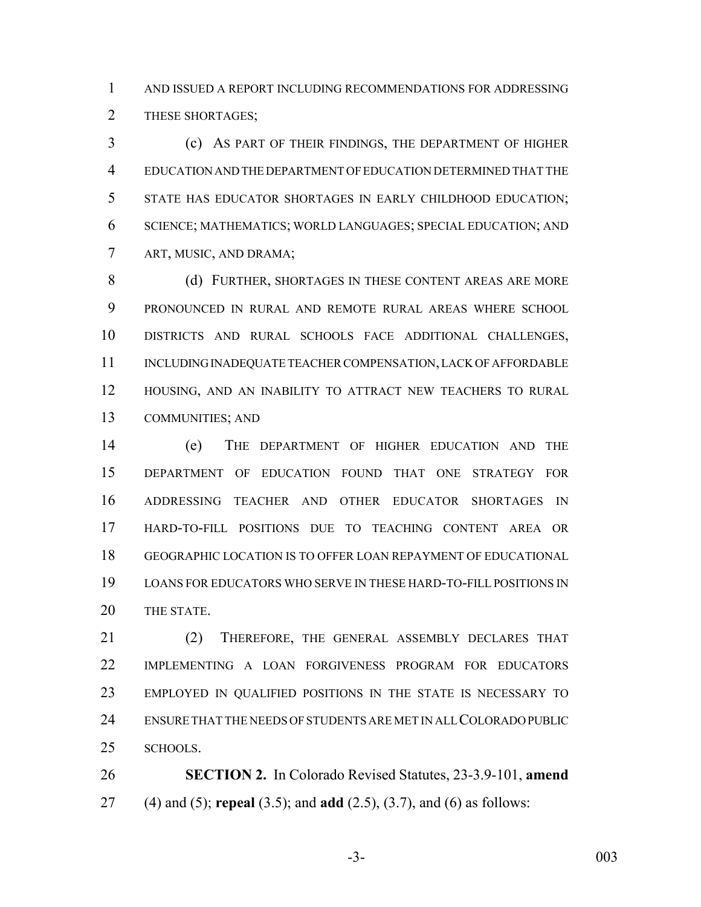AND ISSUED A REPORT INCLUDING RECOMMENDATIONS FOR ADDRESSING 2 THESE SHORTAGES;

 (c) AS PART OF THEIR FINDINGS, THE DEPARTMENT OF HIGHER EDUCATION AND THE DEPARTMENT OF EDUCATION DETERMINED THAT THE STATE HAS EDUCATOR SHORTAGES IN EARLY CHILDHOOD EDUCATION; SCIENCE; MATHEMATICS; WORLD LANGUAGES; SPECIAL EDUCATION; AND ART, MUSIC, AND DRAMA;

8 (d) FURTHER, SHORTAGES IN THESE CONTENT AREAS ARE MORE PRONOUNCED IN RURAL AND REMOTE RURAL AREAS WHERE SCHOOL DISTRICTS AND RURAL SCHOOLS FACE ADDITIONAL CHALLENGES, 11 INCLUDING INADEQUATE TEACHER COMPENSATION, LACK OF AFFORDABLE HOUSING, AND AN INABILITY TO ATTRACT NEW TEACHERS TO RURAL COMMUNITIES; AND

 (e) THE DEPARTMENT OF HIGHER EDUCATION AND THE DEPARTMENT OF EDUCATION FOUND THAT ONE STRATEGY FOR ADDRESSING TEACHER AND OTHER EDUCATOR SHORTAGES IN HARD-TO-FILL POSITIONS DUE TO TEACHING CONTENT AREA OR GEOGRAPHIC LOCATION IS TO OFFER LOAN REPAYMENT OF EDUCATIONAL LOANS FOR EDUCATORS WHO SERVE IN THESE HARD-TO-FILL POSITIONS IN THE STATE.

 (2) THEREFORE, THE GENERAL ASSEMBLY DECLARES THAT IMPLEMENTING A LOAN FORGIVENESS PROGRAM FOR EDUCATORS EMPLOYED IN QUALIFIED POSITIONS IN THE STATE IS NECESSARY TO ENSURE THAT THE NEEDS OF STUDENTS ARE MET IN ALL COLORADO PUBLIC SCHOOLS.

 **SECTION 2.** In Colorado Revised Statutes, 23-3.9-101, **amend** (4) and (5); **repeal** (3.5); and **add** (2.5), (3.7), and (6) as follows:

-3- 003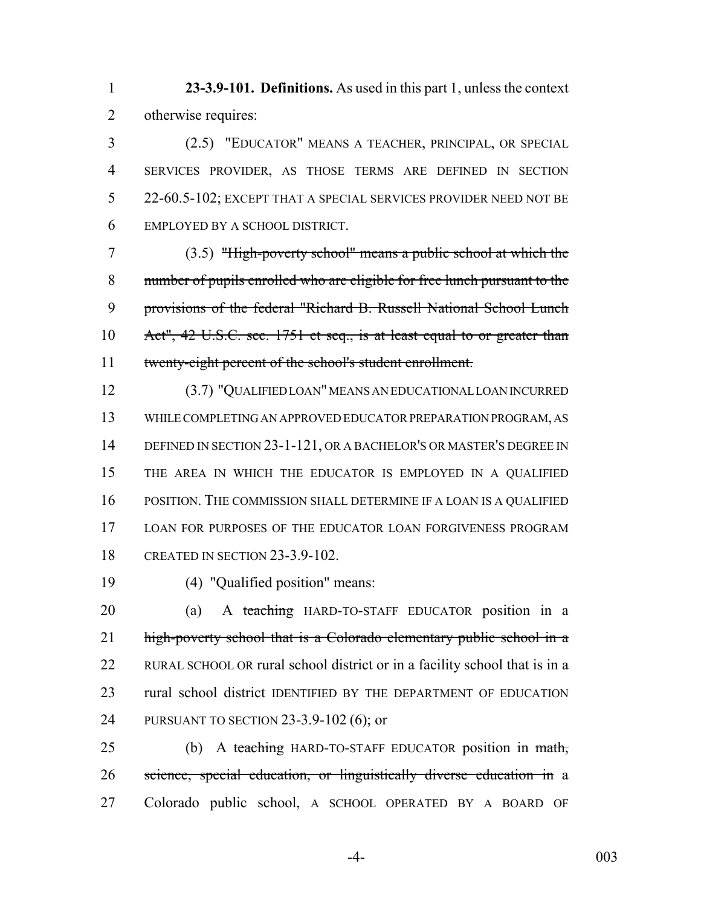**23-3.9-101. Definitions.** As used in this part 1, unless the context otherwise requires:

 (2.5) "EDUCATOR" MEANS A TEACHER, PRINCIPAL, OR SPECIAL SERVICES PROVIDER, AS THOSE TERMS ARE DEFINED IN SECTION 22-60.5-102; EXCEPT THAT A SPECIAL SERVICES PROVIDER NEED NOT BE EMPLOYED BY A SCHOOL DISTRICT.

 (3.5) "High-poverty school" means a public school at which the number of pupils enrolled who are eligible for free lunch pursuant to the provisions of the federal "Richard B. Russell National School Lunch Act", 42 U.S.C. sec. 1751 et seq., is at least equal to or greater than twenty-eight percent of the school's student enrollment.

 (3.7) "QUALIFIED LOAN" MEANS AN EDUCATIONAL LOAN INCURRED WHILE COMPLETING AN APPROVED EDUCATOR PREPARATION PROGRAM, AS 14 DEFINED IN SECTION 23-1-121, OR A BACHELOR'S OR MASTER'S DEGREE IN THE AREA IN WHICH THE EDUCATOR IS EMPLOYED IN A QUALIFIED POSITION. THE COMMISSION SHALL DETERMINE IF A LOAN IS A QUALIFIED LOAN FOR PURPOSES OF THE EDUCATOR LOAN FORGIVENESS PROGRAM CREATED IN SECTION 23-3.9-102.

(4) "Qualified position" means:

 (a) A teaching HARD-TO-STAFF EDUCATOR position in a 21 high-poverty school that is a Colorado elementary public school in a RURAL SCHOOL OR rural school district or in a facility school that is in a rural school district IDENTIFIED BY THE DEPARTMENT OF EDUCATION PURSUANT TO SECTION 23-3.9-102 (6); or

25 (b) A teaching HARD-TO-STAFF EDUCATOR position in math, science, special education, or linguistically diverse education in a Colorado public school, A SCHOOL OPERATED BY A BOARD OF

-4- 003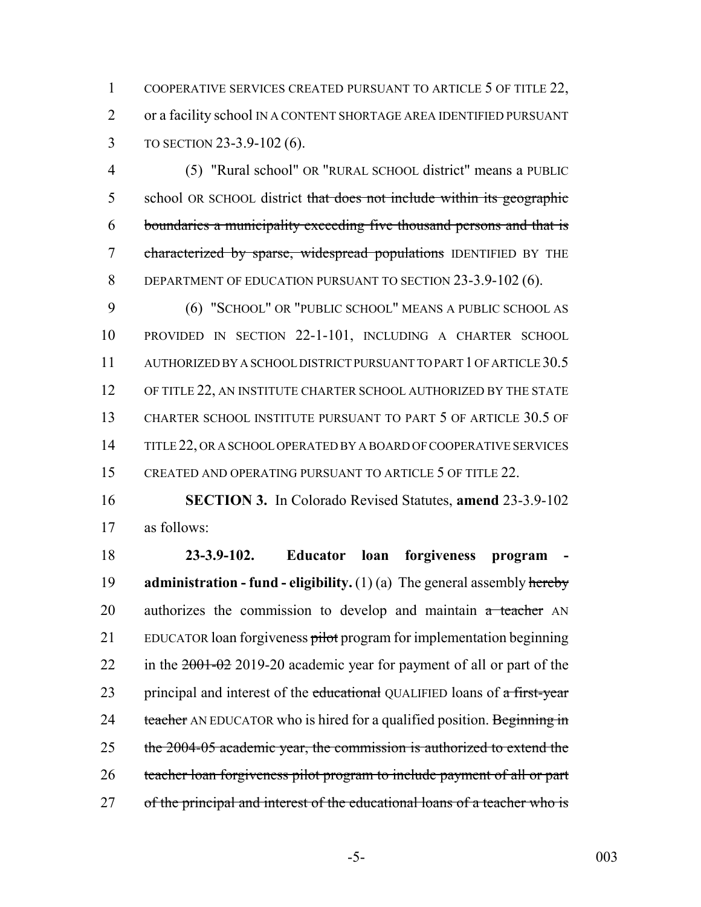1 COOPERATIVE SERVICES CREATED PURSUANT TO ARTICLE 5 OF TITLE 22, 2 or a facility school IN A CONTENT SHORTAGE AREA IDENTIFIED PURSUANT 3 TO SECTION 23-3.9-102 (6).

4 (5) "Rural school" OR "RURAL SCHOOL district" means a PUBLIC 5 school OR SCHOOL district that does not include within its geographic 6 boundaries a municipality exceeding five thousand persons and that is 7 characterized by sparse, widespread populations IDENTIFIED BY THE 8 DEPARTMENT OF EDUCATION PURSUANT TO SECTION 23-3.9-102 (6).

9 (6) "SCHOOL" OR "PUBLIC SCHOOL" MEANS A PUBLIC SCHOOL AS 10 PROVIDED IN SECTION 22-1-101, INCLUDING A CHARTER SCHOOL 11 AUTHORIZED BY A SCHOOL DISTRICT PURSUANT TO PART 1 OF ARTICLE 30.5 12 OF TITLE 22, AN INSTITUTE CHARTER SCHOOL AUTHORIZED BY THE STATE 13 CHARTER SCHOOL INSTITUTE PURSUANT TO PART 5 OF ARTICLE 30.5 OF 14 TITLE 22, OR A SCHOOL OPERATED BY A BOARD OF COOPERATIVE SERVICES 15 CREATED AND OPERATING PURSUANT TO ARTICLE 5 OF TITLE 22.

16 **SECTION 3.** In Colorado Revised Statutes, **amend** 23-3.9-102 17 as follows:

18 **23-3.9-102. Educator loan forgiveness program -** 19 **administration - fund - eligibility.** (1) (a) The general assembly hereby  $20$  authorizes the commission to develop and maintain  $a$  teacher AN 21 EDUCATOR loan forgiveness pilot program for implementation beginning 22 in the  $2001-02$  2019-20 academic year for payment of all or part of the 23 principal and interest of the educational QUALIFIED loans of a first-year 24 teacher AN EDUCATOR who is hired for a qualified position. Beginning in 25 the 2004-05 academic year, the commission is authorized to extend the 26 teacher loan forgiveness pilot program to include payment of all or part 27 of the principal and interest of the educational loans of a teacher who is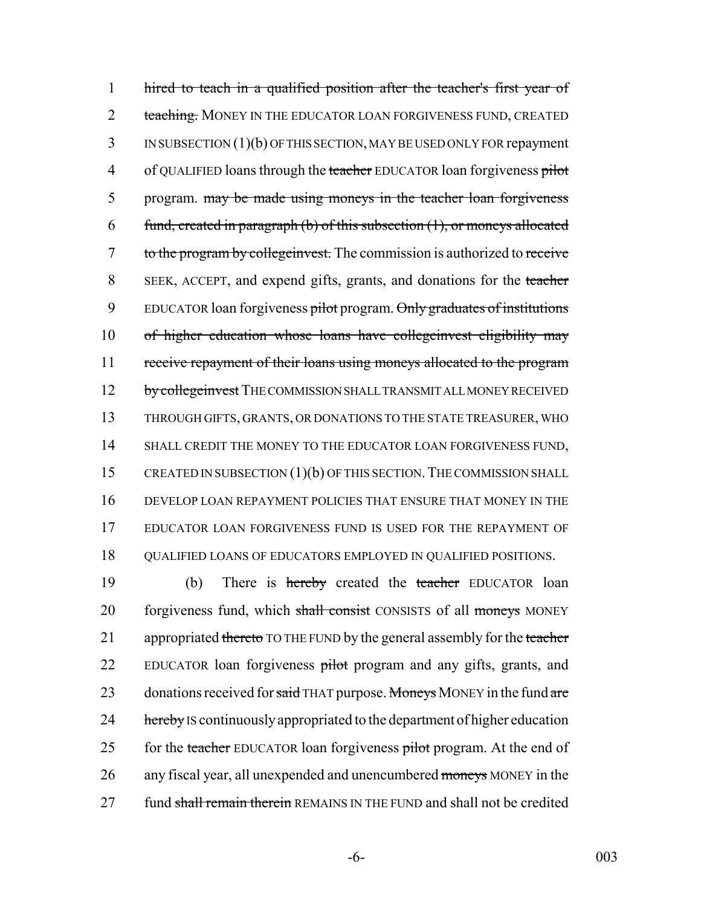1 hired to teach in a qualified position after the teacher's first year of 2 teaching. MONEY IN THE EDUCATOR LOAN FORGIVENESS FUND, CREATED 3 IN SUBSECTION (1)(b) OF THIS SECTION, MAY BE USED ONLY FOR repayment 4 of QUALIFIED loans through the teacher EDUCATOR loan forgiveness pilot 5 program. may be made using moneys in the teacher loan forgiveness 6 fund, created in paragraph (b) of this subsection  $(1)$ , or moneys allocated 7 to the program by college invest. The commission is authorized to receive 8 SEEK, ACCEPT, and expend gifts, grants, and donations for the teacher 9 EDUCATOR loan forgiveness pilot program. Only graduates of institutions 10 of higher education whose loans have collegeinvest eligibility may 11 receive repayment of their loans using moneys allocated to the program 12 by college invest THE COMMISSION SHALL TRANSMIT ALL MONEY RECEIVED 13 THROUGH GIFTS, GRANTS, OR DONATIONS TO THE STATE TREASURER, WHO 14 SHALL CREDIT THE MONEY TO THE EDUCATOR LOAN FORGIVENESS FUND, 15 CREATED IN SUBSECTION (1)(b) OF THIS SECTION. THE COMMISSION SHALL 16 DEVELOP LOAN REPAYMENT POLICIES THAT ENSURE THAT MONEY IN THE 17 EDUCATOR LOAN FORGIVENESS FUND IS USED FOR THE REPAYMENT OF 18 QUALIFIED LOANS OF EDUCATORS EMPLOYED IN QUALIFIED POSITIONS.

19 (b) There is hereby created the teacher EDUCATOR loan 20 forgiveness fund, which shall consist CONSISTS of all moneys MONEY 21 appropriated thereto TO THE FUND by the general assembly for the teacher 22 EDUCATOR loan forgiveness pilot program and any gifts, grants, and 23 donations received for said THAT purpose. Moneys MONEY in the fund are 24 hereby IS continuously appropriated to the department of higher education 25 for the teacher EDUCATOR loan forgiveness pilot program. At the end of 26 any fiscal year, all unexpended and unencumbered moneys MONEY in the 27 fund shall remain therein REMAINS IN THE FUND and shall not be credited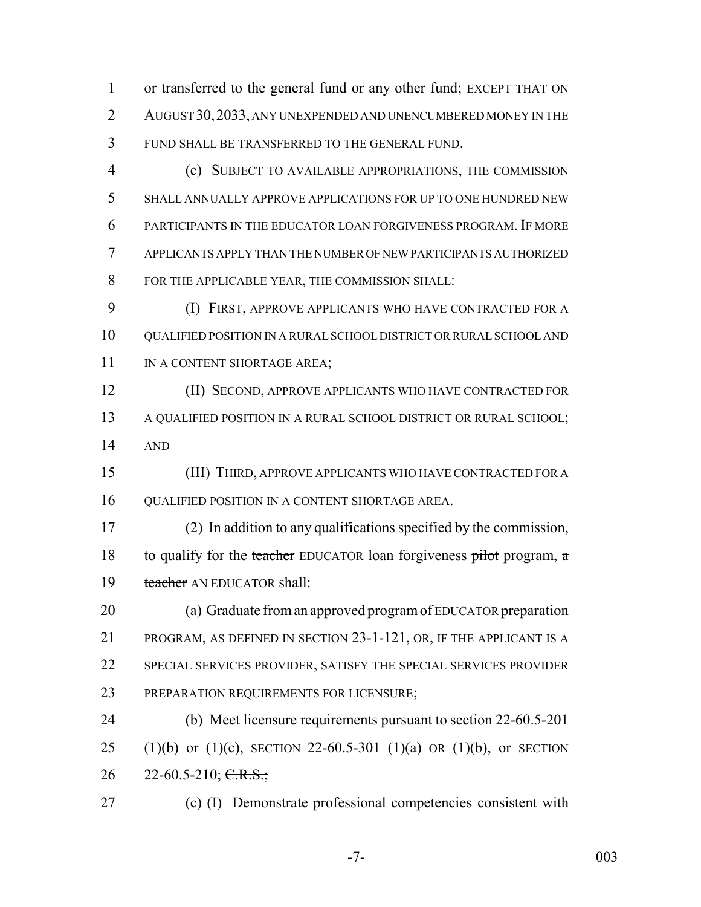or transferred to the general fund or any other fund; EXCEPT THAT ON AUGUST 30,2033, ANY UNEXPENDED AND UNENCUMBERED MONEY IN THE FUND SHALL BE TRANSFERRED TO THE GENERAL FUND.

 (c) SUBJECT TO AVAILABLE APPROPRIATIONS, THE COMMISSION SHALL ANNUALLY APPROVE APPLICATIONS FOR UP TO ONE HUNDRED NEW PARTICIPANTS IN THE EDUCATOR LOAN FORGIVENESS PROGRAM. IF MORE APPLICANTS APPLY THAN THE NUMBER OF NEW PARTICIPANTS AUTHORIZED FOR THE APPLICABLE YEAR, THE COMMISSION SHALL:

 (I) FIRST, APPROVE APPLICANTS WHO HAVE CONTRACTED FOR A QUALIFIED POSITION IN A RURAL SCHOOL DISTRICT OR RURAL SCHOOL AND 11 IN A CONTENT SHORTAGE AREA;

 (II) SECOND, APPROVE APPLICANTS WHO HAVE CONTRACTED FOR A QUALIFIED POSITION IN A RURAL SCHOOL DISTRICT OR RURAL SCHOOL; AND

 (III) THIRD, APPROVE APPLICANTS WHO HAVE CONTRACTED FOR A QUALIFIED POSITION IN A CONTENT SHORTAGE AREA.

 (2) In addition to any qualifications specified by the commission, 18 to qualify for the teacher EDUCATOR loan forgiveness pilot program,  $\alpha$ 19 teacher AN EDUCATOR shall:

20 (a) Graduate from an approved program of EDUCATOR preparation PROGRAM, AS DEFINED IN SECTION 23-1-121, OR, IF THE APPLICANT IS A SPECIAL SERVICES PROVIDER, SATISFY THE SPECIAL SERVICES PROVIDER PREPARATION REQUIREMENTS FOR LICENSURE;

 (b) Meet licensure requirements pursuant to section 22-60.5-201 25 (1)(b) or (1)(c), SECTION 22-60.5-301 (1)(a) OR (1)(b), or SECTION 26 22-60.5-210; C.R.S.;

(c) (I) Demonstrate professional competencies consistent with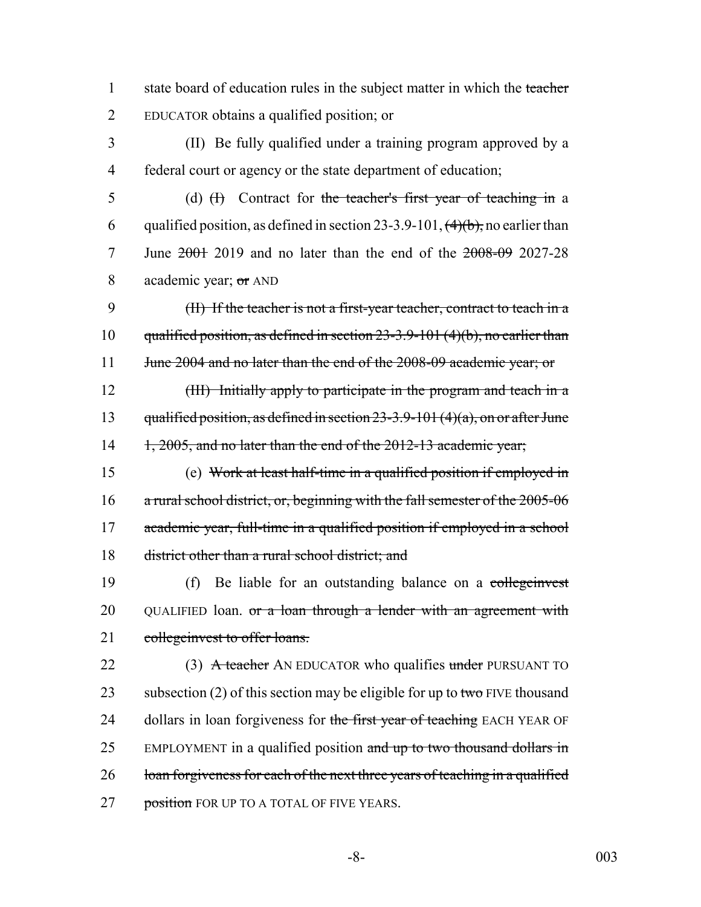1 state board of education rules in the subject matter in which the teacher 2 EDUCATOR obtains a qualified position; or

3 (II) Be fully qualified under a training program approved by a 4 federal court or agency or the state department of education;

5 (d) (H) Contract for the teacher's first year of teaching in a 6 qualified position, as defined in section 23-3.9-101,  $(4)(b)$ , no earlier than 7 June 2001 2019 and no later than the end of the 2008-09 2027-28 8 academic year; or AND

9 (II) If the teacher is not a first-year teacher, contract to teach in a 10 qualified position, as defined in section 23-3.9-101 (4)(b), no earlier than 11 June 2004 and no later than the end of the 2008-09 academic year; or

12 (III) Initially apply to participate in the program and teach in a 13 qualified position, as defined in section  $23-3.9-101(4)(a)$ , on or after June 14 1, 2005, and no later than the end of the 2012-13 academic year;

15 (e) Work at least half-time in a qualified position if employed in 16 a rural school district, or, beginning with the fall semester of the 2005-06 17 academic year, full-time in a qualified position if employed in a school 18 district other than a rural school district; and

19 (f) Be liable for an outstanding balance on a collegenvest 20 QUALIFIED loan. or a loan through a lender with an agreement with 21 collegeinvest to offer loans.

22 (3) A teacher AN EDUCATOR who qualifies under PURSUANT TO 23 subsection (2) of this section may be eligible for up to two FIVE thousand 24 dollars in loan forgiveness for the first year of teaching EACH YEAR OF 25 EMPLOYMENT in a qualified position and up to two thousand dollars in 26 loan forgiveness for each of the next three years of teaching in a qualified 27 position FOR UP TO A TOTAL OF FIVE YEARS.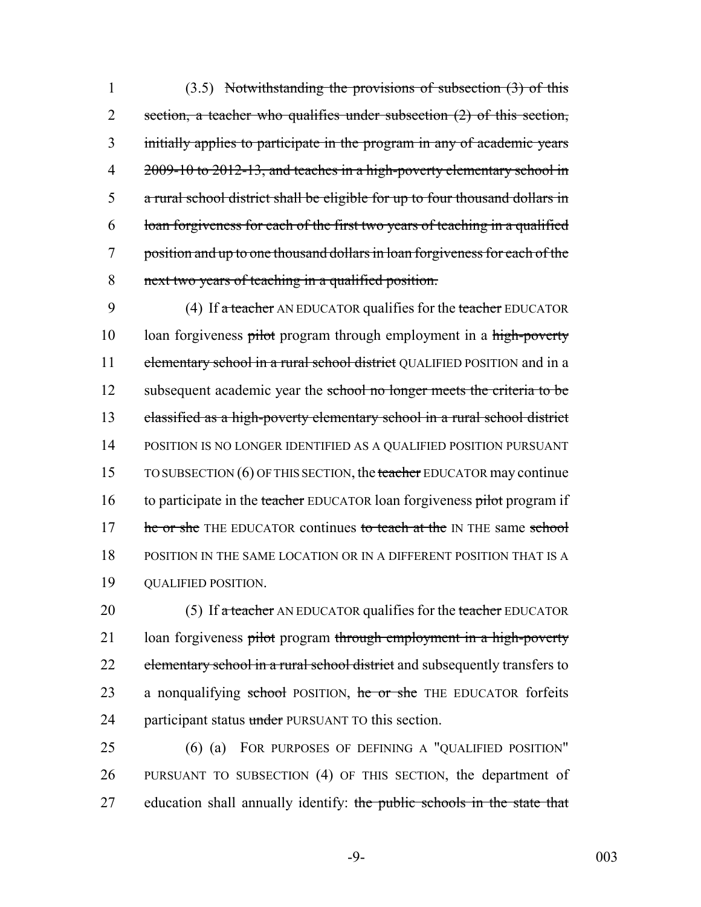(3.5) Notwithstanding the provisions of subsection (3) of this 2 section, a teacher who qualifies under subsection (2) of this section, initially applies to participate in the program in any of academic years 4 2009-10 to 2012-13, and teaches in a high-poverty elementary school in a rural school district shall be eligible for up to four thousand dollars in loan forgiveness for each of the first two years of teaching in a qualified position and up to one thousand dollars in loan forgiveness for each of the next two years of teaching in a qualified position.

9 (4) If a teacher AN EDUCATOR qualifies for the teacher EDUCATOR 10 loan forgiveness pilot program through employment in a high-poverty 11 elementary school in a rural school district QUALIFIED POSITION and in a 12 subsequent academic year the school no longer meets the criteria to be 13 classified as a high-poverty elementary school in a rural school district 14 POSITION IS NO LONGER IDENTIFIED AS A QUALIFIED POSITION PURSUANT 15 TO SUBSECTION (6) OF THIS SECTION, the teacher EDUCATOR may continue 16 to participate in the teacher EDUCATOR loan forgiveness pilot program if 17 he or she THE EDUCATOR continues to teach at the IN THE same school 18 POSITION IN THE SAME LOCATION OR IN A DIFFERENT POSITION THAT IS A 19 QUALIFIED POSITION.

20 (5) If a teacher AN EDUCATOR qualifies for the teacher EDUCATOR 21 loan forgiveness pilot program through employment in a high-poverty 22 elementary school in a rural school district and subsequently transfers to 23 a nonqualifying school POSITION, he or she THE EDUCATOR forfeits 24 participant status under PURSUANT TO this section.

25 (6) (a) FOR PURPOSES OF DEFINING A "QUALIFIED POSITION" 26 PURSUANT TO SUBSECTION (4) OF THIS SECTION, the department of 27 education shall annually identify: the public schools in the state that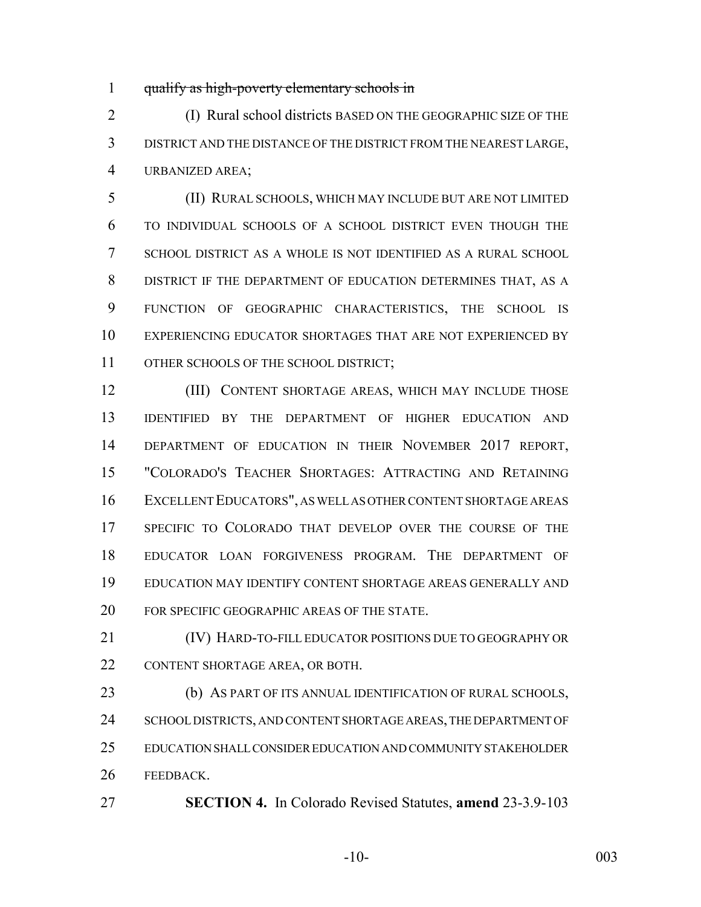qualify as high-poverty elementary schools in

 (I) Rural school districts BASED ON THE GEOGRAPHIC SIZE OF THE DISTRICT AND THE DISTANCE OF THE DISTRICT FROM THE NEAREST LARGE, URBANIZED AREA;

 (II) RURAL SCHOOLS, WHICH MAY INCLUDE BUT ARE NOT LIMITED TO INDIVIDUAL SCHOOLS OF A SCHOOL DISTRICT EVEN THOUGH THE SCHOOL DISTRICT AS A WHOLE IS NOT IDENTIFIED AS A RURAL SCHOOL DISTRICT IF THE DEPARTMENT OF EDUCATION DETERMINES THAT, AS A FUNCTION OF GEOGRAPHIC CHARACTERISTICS, THE SCHOOL IS EXPERIENCING EDUCATOR SHORTAGES THAT ARE NOT EXPERIENCED BY OTHER SCHOOLS OF THE SCHOOL DISTRICT;

 (III) CONTENT SHORTAGE AREAS, WHICH MAY INCLUDE THOSE IDENTIFIED BY THE DEPARTMENT OF HIGHER EDUCATION AND DEPARTMENT OF EDUCATION IN THEIR NOVEMBER 2017 REPORT, "COLORADO'S TEACHER SHORTAGES: ATTRACTING AND RETAINING EXCELLENT EDUCATORS", AS WELL AS OTHER CONTENT SHORTAGE AREAS SPECIFIC TO COLORADO THAT DEVELOP OVER THE COURSE OF THE EDUCATOR LOAN FORGIVENESS PROGRAM. THE DEPARTMENT OF EDUCATION MAY IDENTIFY CONTENT SHORTAGE AREAS GENERALLY AND FOR SPECIFIC GEOGRAPHIC AREAS OF THE STATE.

 (IV) HARD-TO-FILL EDUCATOR POSITIONS DUE TO GEOGRAPHY OR CONTENT SHORTAGE AREA, OR BOTH.

 (b) AS PART OF ITS ANNUAL IDENTIFICATION OF RURAL SCHOOLS, 24 SCHOOL DISTRICTS, AND CONTENT SHORTAGE AREAS, THE DEPARTMENT OF EDUCATION SHALL CONSIDER EDUCATION AND COMMUNITY STAKEHOLDER FEEDBACK.

**SECTION 4.** In Colorado Revised Statutes, **amend** 23-3.9-103

-10- 003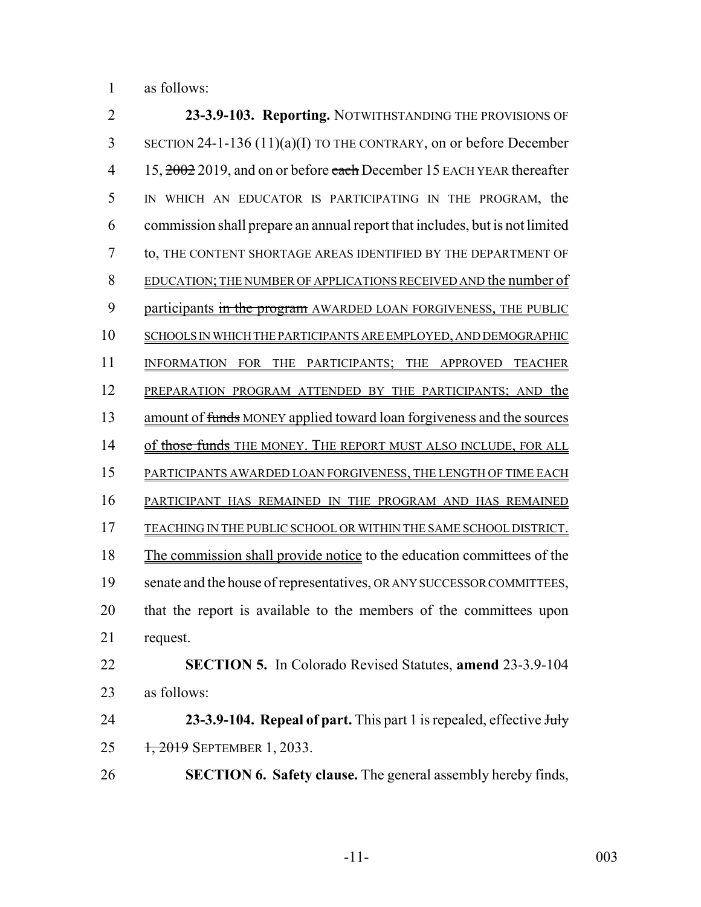as follows:

 **23-3.9-103. Reporting.** NOTWITHSTANDING THE PROVISIONS OF SECTION 24-1-136 (11)(a)(I) TO THE CONTRARY, on or before December 4 15, 2002 2019, and on or before each December 15 EACH YEAR thereafter IN WHICH AN EDUCATOR IS PARTICIPATING IN THE PROGRAM, the commission shall prepare an annual report that includes, but is not limited to, THE CONTENT SHORTAGE AREAS IDENTIFIED BY THE DEPARTMENT OF EDUCATION; THE NUMBER OF APPLICATIONS RECEIVED AND the number of 9 participants in the program AWARDED LOAN FORGIVENESS, THE PUBLIC SCHOOLS IN WHICH THE PARTICIPANTS ARE EMPLOYED, AND DEMOGRAPHIC INFORMATION FOR THE PARTICIPANTS; THE APPROVED TEACHER 12 PREPARATION PROGRAM ATTENDED BY THE PARTICIPANTS; AND the 13 amount of funds MONEY applied toward loan forgiveness and the sources 14 of those funds THE MONEY. THE REPORT MUST ALSO INCLUDE, FOR ALL PARTICIPANTS AWARDED LOAN FORGIVENESS, THE LENGTH OF TIME EACH PARTICIPANT HAS REMAINED IN THE PROGRAM AND HAS REMAINED TEACHING IN THE PUBLIC SCHOOL OR WITHIN THE SAME SCHOOL DISTRICT. The commission shall provide notice to the education committees of the senate and the house of representatives, OR ANY SUCCESSOR COMMITTEES, that the report is available to the members of the committees upon request. **SECTION 5.** In Colorado Revised Statutes, **amend** 23-3.9-104 as follows: **23-3.9-104. Repeal of part.** This part 1 is repealed, effective July 25 1, 2019 SEPTEMBER 1, 2033. **SECTION 6. Safety clause.** The general assembly hereby finds,